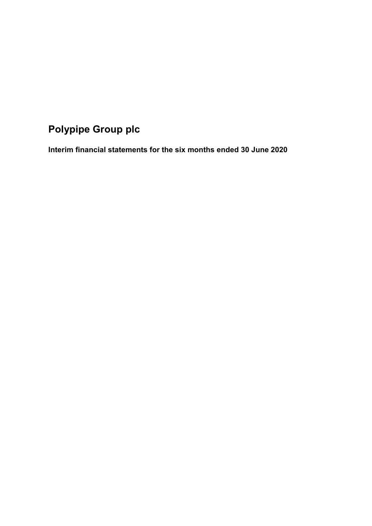# **Polypipe Group plc**

**Interim financial statements for the six months ended 30 June 2020**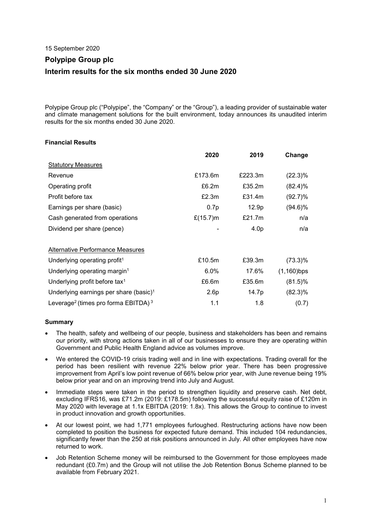15 September 2020

# **Polypipe Group plc Interim results for the six months ended 30 June 2020**

Polypipe Group plc ("Polypipe", the "Company" or the "Group"), a leading provider of sustainable water and climate management solutions for the built environment, today announces its unaudited interim results for the six months ended 30 June 2020.

# **Financial Results**

|                                                             | 2020         | 2019              | Change        |
|-------------------------------------------------------------|--------------|-------------------|---------------|
| <b>Statutory Measures</b>                                   |              |                   |               |
| Revenue                                                     | £173.6m      | £223.3m           | $(22.3)\%$    |
| Operating profit                                            | £6.2m        | £35.2m            | $(82.4)\%$    |
| Profit before tax                                           | £2.3m        | £31.4m            | (92.7)%       |
| Earnings per share (basic)                                  | 0.7p         | 12.9 <sub>p</sub> | $(94.6)\%$    |
| Cash generated from operations                              | £ $(15.7)$ m | £21.7 $m$         | n/a           |
| Dividend per share (pence)                                  |              | 4.0 <sub>p</sub>  | n/a           |
|                                                             |              |                   |               |
| Alternative Performance Measures                            |              |                   |               |
| Underlying operating profit <sup>1</sup>                    | £10.5m       | £39.3m            | (73.3)%       |
| Underlying operating margin <sup>1</sup>                    | 6.0%         | 17.6%             | $(1,160)$ bps |
| Underlying profit before tax <sup>1</sup>                   | £6.6m        | £35.6m            | $(81.5)\%$    |
| Underlying earnings per share (basic) <sup>1</sup>          | 2.6p         | 14.7p             | $(82.3)\%$    |
| Leverage <sup>2</sup> (times pro forma EBITDA) <sup>3</sup> | 1.1          | 1.8               | (0.7)         |

# **Summary**

- The health, safety and wellbeing of our people, business and stakeholders has been and remains our priority, with strong actions taken in all of our businesses to ensure they are operating within Government and Public Health England advice as volumes improve.
- We entered the COVID-19 crisis trading well and in line with expectations. Trading overall for the period has been resilient with revenue 22% below prior year. There has been progressive improvement from April's low point revenue of 66% below prior year, with June revenue being 19% below prior year and on an improving trend into July and August.
- Immediate steps were taken in the period to strengthen liquidity and preserve cash. Net debt, excluding IFRS16, was £71.2m (2019: £178.5m) following the successful equity raise of £120m in May 2020 with leverage at 1.1x EBITDA (2019: 1.8x). This allows the Group to continue to invest in product innovation and growth opportunities.
- At our lowest point, we had 1,771 employees furloughed. Restructuring actions have now been completed to position the business for expected future demand. This included 104 redundancies, significantly fewer than the 250 at risk positions announced in July. All other employees have now returned to work.
- Job Retention Scheme money will be reimbursed to the Government for those employees made redundant (£0.7m) and the Group will not utilise the Job Retention Bonus Scheme planned to be available from February 2021.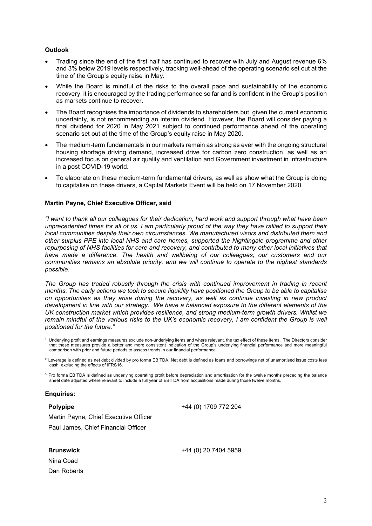### **Outlook**

- Trading since the end of the first half has continued to recover with July and August revenue 6% and 3% below 2019 levels respectively, tracking well-ahead of the operating scenario set out at the time of the Group's equity raise in May.
- While the Board is mindful of the risks to the overall pace and sustainability of the economic recovery, it is encouraged by the trading performance so far and is confident in the Group's position as markets continue to recover.
- The Board recognises the importance of dividends to shareholders but, given the current economic uncertainty, is not recommending an interim dividend. However, the Board will consider paying a final dividend for 2020 in May 2021 subject to continued performance ahead of the operating scenario set out at the time of the Group's equity raise in May 2020.
- The medium-term fundamentals in our markets remain as strong as ever with the ongoing structural housing shortage driving demand, increased drive for carbon zero construction, as well as an increased focus on general air quality and ventilation and Government investment in infrastructure in a post COVID-19 world.
- To elaborate on these medium-term fundamental drivers, as well as show what the Group is doing to capitalise on these drivers, a Capital Markets Event will be held on 17 November 2020.

#### **Martin Payne, Chief Executive Officer, said**

*"I want to thank all our colleagues for their dedication, hard work and support through what have been unprecedented times for all of us. I am particularly proud of the way they have rallied to support their local communities despite their own circumstances. We manufactured visors and distributed them and other surplus PPE into local NHS and care homes, supported the Nightingale programme and other repurposing of NHS facilities for care and recovery, and contributed to many other local initiatives that have made a difference. The health and wellbeing of our colleagues, our customers and our communities remains an absolute priority, and we will continue to operate to the highest standards possible.*

*The Group has traded robustly through the crisis with continued improvement in trading in recent months. The early actions we took to secure liquidity have positioned the Group to be able to capitalise on opportunities as they arise during the recovery, as well as continue investing in new product development in line with our strategy. We have a balanced exposure to the different elements of the UK construction market which provides resilience, and strong medium-term growth drivers. Whilst we remain mindful of the various risks to the UK's economic recovery, I am confident the Group is well positioned for the future."*

### **Enquiries:**

**Polypipe**

+44 (0) 1709 772 204

+44 (0) 20 7404 5959

Martin Payne, Chief Executive Officer Paul James, Chief Financial Officer

**Brunswick**

Nina Coad Dan Roberts

<sup>&</sup>lt;sup>1</sup> Underlying profit and earnings measures exclude non-underlying items and where relevant, the tax effect of these items. The Directors consider that these measures provide a better and more consistent indication of the Group's underlying financial performance and more meaningful comparison with prior and future periods to assess trends in our financial performance.

 $2$  Leverage is defined as net debt divided by pro forma EBITDA. Net debt is defined as loans and borrowings net of unamortised issue costs less cash, excluding the effects of IFRS16.

<sup>&</sup>lt;sup>3</sup> Pro forma EBITDA is defined as underlying operating profit before depreciation and amortisation for the twelve months preceding the balance sheet date adjusted where relevant to include a full year of EBITDA from acquisitions made during those twelve months.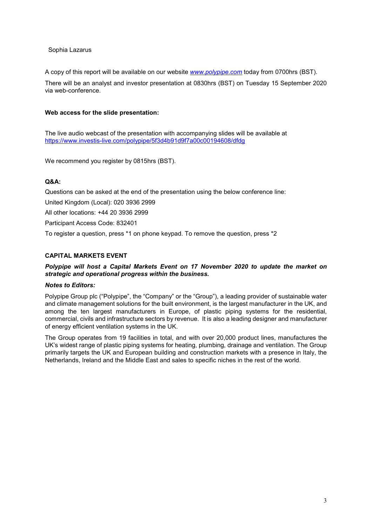### Sophia Lazarus

A copy of this report will be available on our website *[www.polypipe.com](http://www.polypipe.com/)* today from 0700hrs (BST).

There will be an analyst and investor presentation at 0830hrs (BST) on Tuesday 15 September 2020 via web-conference.

### **Web access for the slide presentation:**

The live audio webcast of the presentation with accompanying slides will be available at <https://www.investis-live.com/polypipe/5f3d4b91d9f7a00c00194608/dfdg>

We recommend you register by 0815hrs (BST).

## **Q&A:**

Questions can be asked at the end of the presentation using the below conference line:

United Kingdom (Local): 020 3936 2999

All other locations: +44 20 3936 2999

Participant Access Code: 832401

To register a question, press \*1 on phone keypad. To remove the question, press \*2

## **CAPITAL MARKETS EVENT**

## *Polypipe will host a Capital Markets Event on 17 November 2020 to update the market on strategic and operational progress within the business.*

## *Notes to Editors:*

Polypipe Group plc ("Polypipe", the "Company" or the "Group"), a leading provider of sustainable water and climate management solutions for the built environment, is the largest manufacturer in the UK, and among the ten largest manufacturers in Europe, of plastic piping systems for the residential, commercial, civils and infrastructure sectors by revenue. It is also a leading designer and manufacturer of energy efficient ventilation systems in the UK.

The Group operates from 19 facilities in total, and with over 20,000 product lines, manufactures the UK's widest range of plastic piping systems for heating, plumbing, drainage and ventilation. The Group primarily targets the UK and European building and construction markets with a presence in Italy, the Netherlands, Ireland and the Middle East and sales to specific niches in the rest of the world.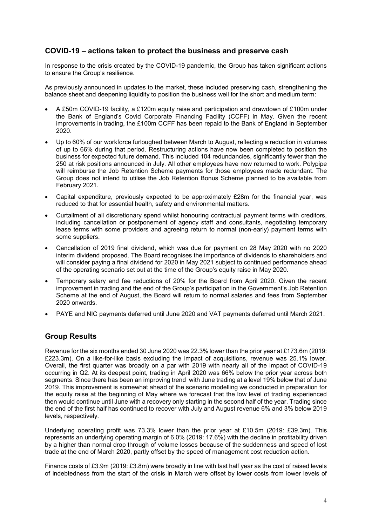# **COVID-19 – actions taken to protect the business and preserve cash**

In response to the crisis created by the COVID-19 pandemic, the Group has taken significant actions to ensure the Group's resilience.

As previously announced in updates to the market, these included preserving cash, strengthening the balance sheet and deepening liquidity to position the business well for the short and medium term:

- A £50m COVID-19 facility, a £120m equity raise and participation and drawdown of £100m under the Bank of England's Covid Corporate Financing Facility (CCFF) in May. Given the recent improvements in trading, the £100m CCFF has been repaid to the Bank of England in September 2020.
- Up to 60% of our workforce furloughed between March to August, reflecting a reduction in volumes of up to 66% during that period. Restructuring actions have now been completed to position the business for expected future demand. This included 104 redundancies, significantly fewer than the 250 at risk positions announced in July. All other employees have now returned to work. Polypipe will reimburse the Job Retention Scheme payments for those employees made redundant. The Group does not intend to utilise the Job Retention Bonus Scheme planned to be available from February 2021.
- Capital expenditure, previously expected to be approximately £28m for the financial year, was reduced to that for essential health, safety and environmental matters.
- Curtailment of all discretionary spend whilst honouring contractual payment terms with creditors, including cancellation or postponement of agency staff and consultants, negotiating temporary lease terms with some providers and agreeing return to normal (non-early) payment terms with some suppliers.
- Cancellation of 2019 final dividend, which was due for payment on 28 May 2020 with no 2020 interim dividend proposed. The Board recognises the importance of dividends to shareholders and will consider paying a final dividend for 2020 in May 2021 subject to continued performance ahead of the operating scenario set out at the time of the Group's equity raise in May 2020.
- Temporary salary and fee reductions of 20% for the Board from April 2020. Given the recent improvement in trading and the end of the Group's participation in the Government's Job Retention Scheme at the end of August, the Board will return to normal salaries and fees from September 2020 onwards.
- PAYE and NIC payments deferred until June 2020 and VAT payments deferred until March 2021.

# **Group Results**

Revenue for the six months ended 30 June 2020 was 22.3% lower than the prior year at £173.6m (2019: £223.3m). On a like-for-like basis excluding the impact of acquisitions, revenue was 25.1% lower. Overall, the first quarter was broadly on a par with 2019 with nearly all of the impact of COVID-19 occurring in Q2. At its deepest point, trading in April 2020 was 66% below the prior year across both segments. Since there has been an improving trend with June trading at a level 19% below that of June 2019. This improvement is somewhat ahead of the scenario modelling we conducted in preparation for the equity raise at the beginning of May where we forecast that the low level of trading experienced then would continue until June with a recovery only starting in the second half of the year. Trading since the end of the first half has continued to recover with July and August revenue 6% and 3% below 2019 levels, respectively.

Underlying operating profit was 73.3% lower than the prior year at £10.5m (2019: £39.3m). This represents an underlying operating margin of 6.0% (2019: 17.6%) with the decline in profitability driven by a higher than normal drop through of volume losses because of the suddenness and speed of lost trade at the end of March 2020, partly offset by the speed of management cost reduction action.

Finance costs of £3.9m (2019: £3.8m) were broadly in line with last half year as the cost of raised levels of indebtedness from the start of the crisis in March were offset by lower costs from lower levels of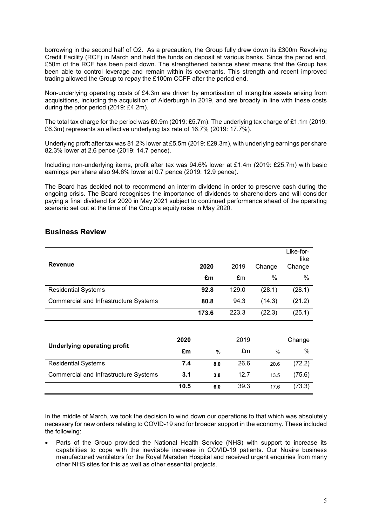borrowing in the second half of Q2. As a precaution, the Group fully drew down its £300m Revolving Credit Facility (RCF) in March and held the funds on deposit at various banks. Since the period end, £50m of the RCF has been paid down. The strengthened balance sheet means that the Group has been able to control leverage and remain within its covenants. This strength and recent improved trading allowed the Group to repay the £100m CCFF after the period end.

Non-underlying operating costs of £4.3m are driven by amortisation of intangible assets arising from acquisitions, including the acquisition of Alderburgh in 2019, and are broadly in line with these costs during the prior period (2019: £4.2m).

The total tax charge for the period was £0.9m (2019: £5.7m). The underlying tax charge of £1.1m (2019: £6.3m) represents an effective underlying tax rate of 16.7% (2019: 17.7%).

Underlying profit after tax was 81.2% lower at £5.5m (2019: £29.3m), with underlying earnings per share 82.3% lower at 2.6 pence (2019: 14.7 pence).

Including non-underlying items, profit after tax was 94.6% lower at £1.4m (2019: £25.7m) with basic earnings per share also 94.6% lower at 0.7 pence (2019: 12.9 pence).

The Board has decided not to recommend an interim dividend in order to preserve cash during the ongoing crisis. The Board recognises the importance of dividends to shareholders and will consider paying a final dividend for 2020 in May 2021 subject to continued performance ahead of the operating scenario set out at the time of the Group's equity raise in May 2020.

| <b>Revenue</b>                               |      | 2020<br>£m | 2019<br>£m | Change<br>% | Like-for-<br>like<br>Change<br>$\%$ |
|----------------------------------------------|------|------------|------------|-------------|-------------------------------------|
|                                              |      |            |            |             |                                     |
| <b>Residential Systems</b>                   |      | 92.8       | 129.0      | (28.1)      | (28.1)                              |
| Commercial and Infrastructure Systems        |      | 80.8       | 94.3       | (14.3)      | (21.2)                              |
|                                              |      | 173.6      | 223.3      | (22.3)      | (25.1)                              |
|                                              |      |            |            |             |                                     |
| <b>Underlying operating profit</b>           | 2020 |            | 2019       |             | Change                              |
|                                              | £m   | %          | £m         | $\%$        | %                                   |
| <b>Residential Systems</b>                   | 7.4  | 8.0        | 26.6       | 20.6        | (72.2)                              |
| <b>Commercial and Infrastructure Systems</b> | 3.1  | 3.8        | 12.7       | 13.5        | (75.6)                              |
|                                              | 10.5 | 6.0        | 39.3       | 17.6        | (73.3)                              |

# **Business Review**

In the middle of March, we took the decision to wind down our operations to that which was absolutely necessary for new orders relating to COVID-19 and for broader support in the economy. These included the following:

• Parts of the Group provided the National Health Service (NHS) with support to increase its capabilities to cope with the inevitable increase in COVID-19 patients. Our Nuaire business manufactured ventilators for the Royal Marsden Hospital and received urgent enquiries from many other NHS sites for this as well as other essential projects.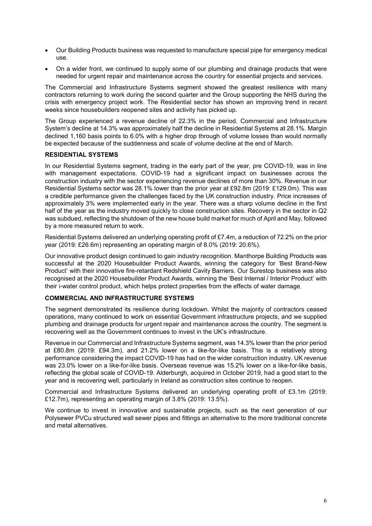- Our Building Products business was requested to manufacture special pipe for emergency medical use.
- On a wider front, we continued to supply some of our plumbing and drainage products that were needed for urgent repair and maintenance across the country for essential projects and services.

The Commercial and Infrastructure Systems segment showed the greatest resilience with many contractors returning to work during the second quarter and the Group supporting the NHS during the crisis with emergency project work. The Residential sector has shown an improving trend in recent weeks since housebuilders reopened sites and activity has picked up.

The Group experienced a revenue decline of 22.3% in the period. Commercial and Infrastructure System's decline at 14.3% was approximately half the decline in Residential Systems at 28.1%. Margin declined 1,160 basis points to 6.0% with a higher drop through of volume losses than would normally be expected because of the suddenness and scale of volume decline at the end of March.

### **RESIDENTIAL SYSTEMS**

In our Residential Systems segment, trading in the early part of the year, pre COVID-19, was in line with management expectations. COVID-19 had a significant impact on businesses across the construction industry with the sector experiencing revenue declines of more than 30%. Revenue in our Residential Systems sector was 28.1% lower than the prior year at £92.8m (2019: £129.0m). This was a credible performance given the challenges faced by the UK construction industry. Price increases of approximately 3% were implemented early in the year. There was a sharp volume decline in the first half of the year as the industry moved quickly to close construction sites. Recovery in the sector in Q2 was subdued, reflecting the shutdown of the new house build market for much of April and May, followed by a more measured return to work.

Residential Systems delivered an underlying operating profit of £7.4m, a reduction of 72.2% on the prior year (2019: £26.6m) representing an operating margin of 8.0% (2019: 20.6%).

Our innovative product design continued to gain industry recognition. Manthorpe Building Products was successful at the 2020 Housebuilder Product Awards, winning the category for 'Best Brand-New Product' with their innovative fire-retardant Redshield Cavity Barriers. Our Surestop business was also recognised at the 2020 Housebuilder Product Awards, winning the 'Best Internal / Interior Product' with their i-water control product, which helps protect properties from the effects of water damage.

## **COMMERCIAL AND INFRASTRUCTURE SYSTEMS**

The segment demonstrated its resilience during lockdown. Whilst the majority of contractors ceased operations, many continued to work on essential Government infrastructure projects, and we supplied plumbing and drainage products for urgent repair and maintenance across the country. The segment is recovering well as the Government continues to invest in the UK's infrastructure.

Revenue in our Commercial and Infrastructure Systems segment, was 14.3% lower than the prior period at £80.8m (2019: £94.3m), and 21.2% lower on a like-for-like basis. This is a relatively strong performance considering the impact COVID-19 has had on the wider construction industry. UK revenue was 23.0% lower on a like-for-like basis. Overseas revenue was 15.2% lower on a like-for-like basis, reflecting the global scale of COVID-19. Alderburgh, acquired in October 2019, had a good start to the year and is recovering well, particularly in Ireland as construction sites continue to reopen.

Commercial and Infrastructure Systems delivered an underlying operating profit of £3.1m (2019: £12.7m), representing an operating margin of 3.8% (2019: 13.5%).

We continue to invest in innovative and sustainable projects, such as the next generation of our Polysewer PVCu structured wall sewer pipes and fittings an alternative to the more traditional concrete and metal alternatives.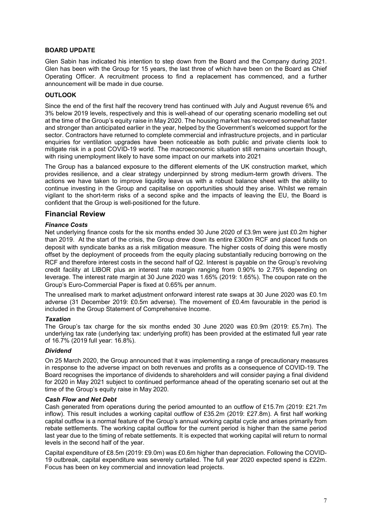## **BOARD UPDATE**

Glen Sabin has indicated his intention to step down from the Board and the Company during 2021. Glen has been with the Group for 15 years, the last three of which have been on the Board as Chief Operating Officer. A recruitment process to find a replacement has commenced, and a further announcement will be made in due course.

### **OUTLOOK**

Since the end of the first half the recovery trend has continued with July and August revenue 6% and 3% below 2019 levels, respectively and this is well-ahead of our operating scenario modelling set out at the time of the Group's equity raise in May 2020. The housing market has recovered somewhat faster and stronger than anticipated earlier in the year, helped by the Government's welcomed support for the sector. Contractors have returned to complete commercial and infrastructure projects, and in particular enquiries for ventilation upgrades have been noticeable as both public and private clients look to mitigate risk in a post COVID-19 world. The macroeconomic situation still remains uncertain though, with rising unemployment likely to have some impact on our markets into 2021

The Group has a balanced exposure to the different elements of the UK construction market, which provides resilience, and a clear strategy underpinned by strong medium-term growth drivers. The actions we have taken to improve liquidity leave us with a robust balance sheet with the ability to continue investing in the Group and capitalise on opportunities should they arise. Whilst we remain vigilant to the short-term risks of a second spike and the impacts of leaving the EU, the Board is confident that the Group is well-positioned for the future.

# **Financial Review**

### *Finance Costs*

Net underlying finance costs for the six months ended 30 June 2020 of £3.9m were just £0.2m higher than 2019. At the start of the crisis, the Group drew down its entire £300m RCF and placed funds on deposit with syndicate banks as a risk mitigation measure. The higher costs of doing this were mostly offset by the deployment of proceeds from the equity placing substantially reducing borrowing on the RCF and therefore interest costs in the second half of Q2. Interest is payable on the Group's revolving credit facility at LIBOR plus an interest rate margin ranging from 0.90% to 2.75% depending on leverage. The interest rate margin at 30 June 2020 was 1.65% (2019: 1.65%). The coupon rate on the Group's Euro-Commercial Paper is fixed at 0.65% per annum.

The unrealised mark to market adjustment onforward interest rate swaps at 30 June 2020 was £0.1m adverse (31 December 2019: £0.5m adverse). The movement of £0.4m favourable in the period is included in the Group Statement of Comprehensive Income.

### *Taxation*

The Group's tax charge for the six months ended 30 June 2020 was £0.9m (2019: £5.7m). The underlying tax rate (underlying tax: underlying profit) has been provided at the estimated full year rate of 16.7% (2019 full year: 16.8%).

### *Dividend*

On 25 March 2020, the Group announced that it was implementing a range of precautionary measures in response to the adverse impact on both revenues and profits as a consequence of COVID-19. The Board recognises the importance of dividends to shareholders and will consider paying a final dividend for 2020 in May 2021 subject to continued performance ahead of the operating scenario set out at the time of the Group's equity raise in May 2020.

### *Cash Flow and Net Debt*

Cash generated from operations during the period amounted to an outflow of £15.7m (2019: £21.7m inflow). This result includes a working capital outflow of £35.2m (2019: £27.8m). A first half working capital outflow is a normal feature of the Group's annual working capital cycle and arises primarily from rebate settlements. The working capital outflow for the current period is higher than the same period last year due to the timing of rebate settlements. It is expected that working capital will return to normal levels in the second half of the year.

Capital expenditure of £8.5m (2019: £9.0m) was £0.6m higher than depreciation. Following the COVID-19 outbreak, capital expenditure was severely curtailed. The full year 2020 expected spend is £22m. Focus has been on key commercial and innovation lead projects.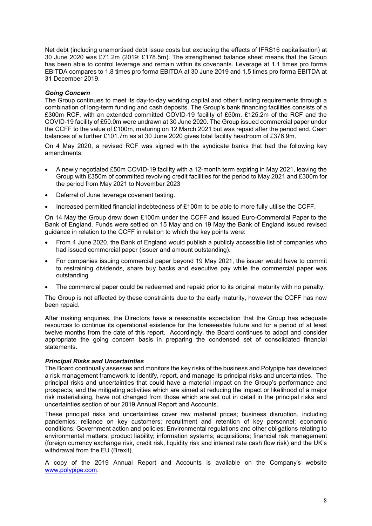Net debt (including unamortised debt issue costs but excluding the effects of IFRS16 capitalisation) at 30 June 2020 was £71.2m (2019: £178.5m). The strengthened balance sheet means that the Group has been able to control leverage and remain within its covenants. Leverage at 1.1 times pro forma EBITDA compares to 1.8 times pro forma EBITDA at 30 June 2019 and 1.5 times pro forma EBITDA at 31 December 2019.

## *Going Concern*

The Group continues to meet its day-to-day working capital and other funding requirements through a combination of long-term funding and cash deposits. The Group's bank financing facilities consists of a £300m RCF, with an extended committed COVID-19 facility of £50m. £125.2m of the RCF and the COVID-19 facility of £50.0m were undrawn at 30 June 2020. The Group issued commercial paper under the CCFF to the value of £100m, maturing on 12 March 2021 but was repaid after the period end. Cash balances of a further £101.7m as at 30 June 2020 gives total facility headroom of £376.9m.

On 4 May 2020, a revised RCF was signed with the syndicate banks that had the following key amendments:

- A newly negotiated £50m COVID-19 facility with a 12-month term expiring in May 2021, leaving the Group with £350m of committed revolving credit facilities for the period to May 2021 and £300m for the period from May 2021 to November 2023
- Deferral of June leverage covenant testing.
- Increased permitted financial indebtedness of £100m to be able to more fully utilise the CCFF.

On 14 May the Group drew down £100m under the CCFF and issued Euro-Commercial Paper to the Bank of England. Funds were settled on 15 May and on 19 May the Bank of England issued revised guidance in relation to the CCFF in relation to which the key points were:

- From 4 June 2020, the Bank of England would publish a publicly accessible list of companies who had issued commercial paper (issuer and amount outstanding).
- For companies issuing commercial paper beyond 19 May 2021, the issuer would have to commit to restraining dividends, share buy backs and executive pay while the commercial paper was outstanding.
- The commercial paper could be redeemed and repaid prior to its original maturity with no penalty.

The Group is not affected by these constraints due to the early maturity, however the CCFF has now been repaid.

After making enquiries, the Directors have a reasonable expectation that the Group has adequate resources to continue its operational existence for the foreseeable future and for a period of at least twelve months from the date of this report. Accordingly, the Board continues to adopt and consider appropriate the going concern basis in preparing the condensed set of consolidated financial statements.

### *Principal Risks and Uncertainties*

The Board continually assesses and monitors the key risks of the business and Polypipe has developed a risk management framework to identify, report, and manage its principal risks and uncertainties. The principal risks and uncertainties that could have a material impact on the Group's performance and prospects, and the mitigating activities which are aimed at reducing the impact or likelihood of a major risk materialising, have not changed from those which are set out in detail in the principal risks and uncertainties section of our 2019 Annual Report and Accounts.

These principal risks and uncertainties cover raw material prices; business disruption, including pandemics; reliance on key customers; recruitment and retention of key personnel; economic conditions; Government action and policies; Environmental regulations and other obligations relating to environmental matters; product liability; information systems; acquisitions; financial risk management (foreign currency exchange risk, credit risk, liquidity risk and interest rate cash flow risk) and the UK's withdrawal from the EU (Brexit).

A copy of the 2019 Annual Report and Accounts is available on the Company's website [www.polypipe.com.](http://www.polypipe.com/)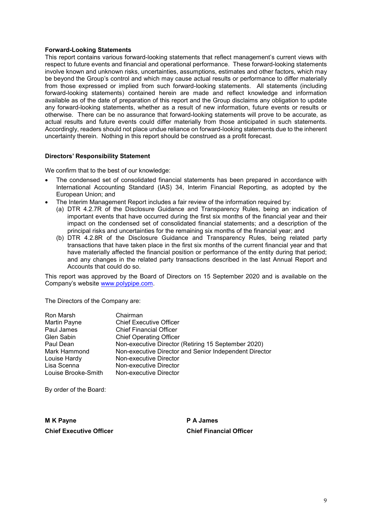### **Forward-Looking Statements**

This report contains various forward-looking statements that reflect management's current views with respect to future events and financial and operational performance. These forward-looking statements involve known and unknown risks, uncertainties, assumptions, estimates and other factors, which may be beyond the Group's control and which may cause actual results or performance to differ materially from those expressed or implied from such forward-looking statements. All statements (including forward-looking statements) contained herein are made and reflect knowledge and information available as of the date of preparation of this report and the Group disclaims any obligation to update any forward-looking statements, whether as a result of new information, future events or results or otherwise. There can be no assurance that forward-looking statements will prove to be accurate, as actual results and future events could differ materially from those anticipated in such statements. Accordingly, readers should not place undue reliance on forward-looking statements due to the inherent uncertainty therein. Nothing in this report should be construed as a profit forecast.

### **Directors' Responsibility Statement**

We confirm that to the best of our knowledge:

- The condensed set of consolidated financial statements has been prepared in accordance with International Accounting Standard (IAS) 34, Interim Financial Reporting, as adopted by the European Union; and
- The Interim Management Report includes a fair review of the information required by:
	- (a) DTR 4.2.7R of the Disclosure Guidance and Transparency Rules, being an indication of important events that have occurred during the first six months of the financial year and their impact on the condensed set of consolidated financial statements; and a description of the principal risks and uncertainties for the remaining six months of the financial year; and
	- (b) DTR 4.2.8R of the Disclosure Guidance and Transparency Rules, being related party transactions that have taken place in the first six months of the current financial year and that have materially affected the financial position or performance of the entity during that period; and any changes in the related party transactions described in the last Annual Report and Accounts that could do so.

This report was approved by the Board of Directors on 15 September 2020 and is available on the Company's website [www.polypipe.com.](http://www.polypipe.com/)

The Directors of the Company are:

| Ron Marsh           | Chairman                                               |
|---------------------|--------------------------------------------------------|
| <b>Martin Payne</b> | <b>Chief Executive Officer</b>                         |
| Paul James          | <b>Chief Financial Officer</b>                         |
| <b>Glen Sabin</b>   | <b>Chief Operating Officer</b>                         |
| Paul Dean           | Non-executive Director (Retiring 15 September 2020)    |
| Mark Hammond        | Non-executive Director and Senior Independent Director |
| Louise Hardy        | Non-executive Director                                 |
| Lisa Scenna         | Non-executive Director                                 |
| Louise Brooke-Smith | Non-executive Director                                 |

By order of the Board:

**M K Payne P A James Chief Executive Officer Chief Financial Officer**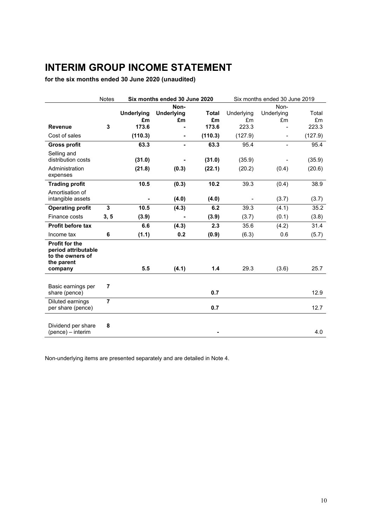# **INTERIM GROUP INCOME STATEMENT**

**for the six months ended 30 June 2020 (unaudited)**

|                                                                                           | <b>Notes</b>   | Six months ended 30 June 2020 |                          |              | Six months ended 30 June 2019 |                          |             |
|-------------------------------------------------------------------------------------------|----------------|-------------------------------|--------------------------|--------------|-------------------------------|--------------------------|-------------|
|                                                                                           |                |                               | Non-                     |              |                               | Non-                     |             |
|                                                                                           |                | <b>Underlying</b>             | <b>Underlying</b>        | <b>Total</b> | Underlying                    | Underlying               | Total       |
| <b>Revenue</b>                                                                            | 3              | £m<br>173.6                   | £m                       | £m<br>173.6  | £m<br>223.3                   | £m                       | £m<br>223.3 |
| Cost of sales                                                                             |                |                               |                          |              |                               |                          |             |
|                                                                                           |                | (110.3)                       | $\overline{\phantom{a}}$ | (110.3)      | (127.9)                       | $\overline{\phantom{a}}$ | (127.9)     |
| <b>Gross profit</b>                                                                       |                | 63.3                          | ٠                        | 63.3         | 95.4                          |                          | 95.4        |
| Selling and<br>distribution costs                                                         |                | (31.0)                        |                          | (31.0)       | (35.9)                        |                          | (35.9)      |
| Administration                                                                            |                | (21.8)                        | (0.3)                    | (22.1)       | (20.2)                        | (0.4)                    | (20.6)      |
| expenses                                                                                  |                |                               |                          |              |                               |                          |             |
| <b>Trading profit</b>                                                                     |                | 10.5                          | (0.3)                    | 10.2         | 39.3                          | (0.4)                    | 38.9        |
| Amortisation of                                                                           |                |                               |                          |              |                               |                          |             |
| intangible assets                                                                         |                |                               | (4.0)                    | (4.0)        |                               | (3.7)                    | (3.7)       |
| <b>Operating profit</b>                                                                   | 3              | 10.5                          | (4.3)                    | 6.2          | 39.3                          | (4.1)                    | 35.2        |
| Finance costs                                                                             | 3, 5           | (3.9)                         |                          | (3.9)        | (3.7)                         | (0.1)                    | (3.8)       |
| Profit before tax                                                                         |                | 6.6                           | (4.3)                    | 2.3          | 35.6                          | (4.2)                    | 31.4        |
| Income tax                                                                                | 6              | (1.1)                         | 0.2                      | (0.9)        | (6.3)                         | 0.6                      | (5.7)       |
| <b>Profit for the</b><br>period attributable<br>to the owners of<br>the parent<br>company |                | 5.5                           | (4.1)                    | 1.4          | 29.3                          | (3.6)                    | 25.7        |
|                                                                                           |                |                               |                          |              |                               |                          |             |
| Basic earnings per<br>share (pence)                                                       | 7              |                               |                          | 0.7          |                               |                          | 12.9        |
| Diluted earnings<br>per share (pence)                                                     | $\overline{7}$ |                               |                          | 0.7          |                               |                          | 12.7        |
| Dividend per share<br>(pence) - interim                                                   | 8              |                               |                          |              |                               |                          | 4.0         |

Non-underlying items are presented separately and are detailed in Note 4.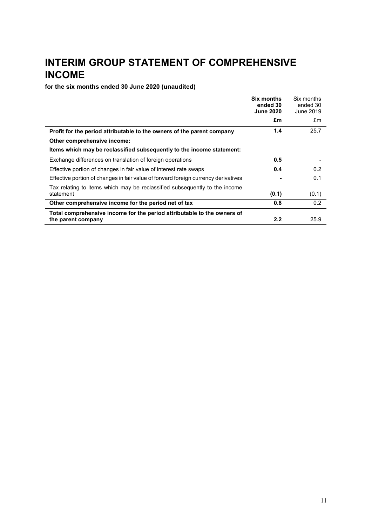# **INTERIM GROUP STATEMENT OF COMPREHENSIVE INCOME**

**for the six months ended 30 June 2020 (unaudited)**

|                                                                                               | <b>Six months</b><br>ended 30<br><b>June 2020</b> | Six months<br>ended 30<br>June 2019 |
|-----------------------------------------------------------------------------------------------|---------------------------------------------------|-------------------------------------|
|                                                                                               | £m                                                | £m                                  |
| Profit for the period attributable to the owners of the parent company                        | 1.4                                               | 25.7                                |
| Other comprehensive income:                                                                   |                                                   |                                     |
| Items which may be reclassified subsequently to the income statement:                         |                                                   |                                     |
| Exchange differences on translation of foreign operations                                     | 0.5                                               |                                     |
| Effective portion of changes in fair value of interest rate swaps                             | 0.4                                               | 0.2                                 |
| Effective portion of changes in fair value of forward foreign currency derivatives            |                                                   | 0.1                                 |
| Tax relating to items which may be reclassified subsequently to the income<br>statement       | (0.1)                                             | (0.1)                               |
| Other comprehensive income for the period net of tax                                          | 0.8                                               | 0.2                                 |
| Total comprehensive income for the period attributable to the owners of<br>the parent company | 2.2                                               | 25.9                                |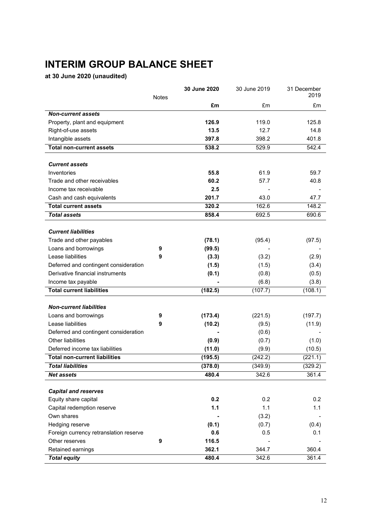# **INTERIM GROUP BALANCE SHEET**

**at 30 June 2020 (unaudited)**

|                                        |              | 30 June 2020 | 30 June 2019 | 31 December |
|----------------------------------------|--------------|--------------|--------------|-------------|
|                                        | <b>Notes</b> |              |              | 2019        |
|                                        |              | £m           | £m           | £m          |
| <b>Non-current assets</b>              |              |              |              |             |
| Property, plant and equipment          |              | 126.9        | 119.0        | 125.8       |
| Right-of-use assets                    |              | 13.5         | 12.7         | 14.8        |
| Intangible assets                      |              | 397.8        | 398.2        | 401.8       |
| <b>Total non-current assets</b>        |              | 538.2        | 529.9        | 542.4       |
| <b>Current assets</b>                  |              |              |              |             |
| Inventories                            |              | 55.8         | 61.9         | 59.7        |
| Trade and other receivables            |              | 60.2         | 57.7         | 40.8        |
| Income tax receivable                  |              | 2.5          |              |             |
| Cash and cash equivalents              |              | 201.7        | 43.0         | 47.7        |
| <b>Total current assets</b>            |              | 320.2        | 162.6        | 148.2       |
| <b>Total assets</b>                    |              | 858.4        | 692.5        | 690.6       |
|                                        |              |              |              |             |
| <b>Current liabilities</b>             |              |              |              |             |
| Trade and other payables               |              | (78.1)       | (95.4)       | (97.5)      |
| Loans and borrowings                   | 9            | (99.5)       |              |             |
| Lease liabilities                      | 9            | (3.3)        | (3.2)        | (2.9)       |
| Deferred and contingent consideration  |              | (1.5)        | (1.5)        | (3.4)       |
| Derivative financial instruments       |              | (0.1)        | (0.8)        | (0.5)       |
| Income tax payable                     |              |              | (6.8)        | (3.8)       |
| <b>Total current liabilities</b>       |              | (182.5)      | (107.7)      | (108.1)     |
|                                        |              |              |              |             |
| <b>Non-current liabilities</b>         |              |              |              |             |
| Loans and borrowings                   | 9            | (173.4)      | (221.5)      | (197.7)     |
| Lease liabilities                      | 9            | (10.2)       | (9.5)        | (11.9)      |
| Deferred and contingent consideration  |              |              | (0.6)        |             |
| Other liabilities                      |              | (0.9)        | (0.7)        | (1.0)       |
| Deferred income tax liabilities        |              | (11.0)       | (9.9)        | (10.5)      |
| <b>Total non-current liabilities</b>   |              | (195.5)      | (242.2)      | (221.1)     |
| <b>Total liabilities</b>               |              | (378.0)      | (349.9)      | (329.2)     |
| <b>Net assets</b>                      |              | 480.4        | 342.6        | 361.4       |
|                                        |              |              |              |             |
| <b>Capital and reserves</b>            |              |              |              |             |
| Equity share capital                   |              | 0.2          | 0.2          | 0.2         |
| Capital redemption reserve             |              | $1.1$        | 1.1          | 1.1         |
| Own shares                             |              |              | (3.2)        |             |
| Hedging reserve                        |              | (0.1)        | (0.7)        | (0.4)       |
| Foreign currency retranslation reserve |              | 0.6          | 0.5          | 0.1         |
| Other reserves                         | 9            | 116.5        |              |             |
| Retained earnings                      |              | 362.1        | 344.7        | 360.4       |
| <b>Total equity</b>                    |              | 480.4        | 342.6        | 361.4       |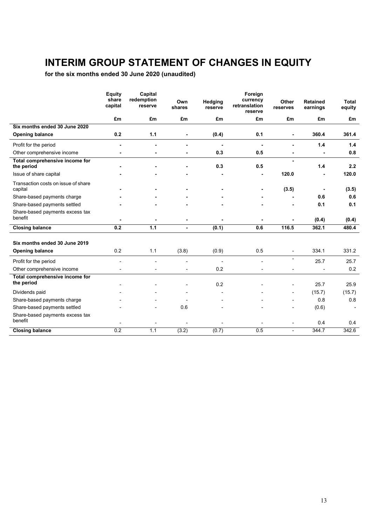# **INTERIM GROUP STATEMENT OF CHANGES IN EQUITY**

**for the six months ended 30 June 2020 (unaudited)**

|                                                | Equity<br>share<br>capital | Capital<br>redemption<br>reserve | Own<br>shares  | Hedging<br>reserve | Foreign<br>currency<br>retranslation<br>reserve | Other<br>reserves        | <b>Retained</b><br>earnings | Total<br>equity |
|------------------------------------------------|----------------------------|----------------------------------|----------------|--------------------|-------------------------------------------------|--------------------------|-----------------------------|-----------------|
|                                                | £m                         | £m                               | £m             | £m                 | £m                                              | £m                       | £m                          | £m              |
| Six months ended 30 June 2020                  |                            |                                  |                |                    |                                                 |                          |                             |                 |
| <b>Opening balance</b>                         | 0.2                        | 1.1                              |                | (0.4)              | 0.1                                             |                          | 360.4                       | 361.4           |
| Profit for the period                          |                            |                                  |                | $\blacksquare$     | $\blacksquare$                                  |                          | 1.4                         | 1.4             |
| Other comprehensive income                     |                            |                                  |                | 0.3                | 0.5                                             |                          |                             | 0.8             |
| Total comprehensive income for<br>the period   |                            |                                  |                | 0.3                | 0.5                                             |                          | 1.4                         | 2.2             |
| Issue of share capital                         |                            |                                  |                |                    |                                                 | 120.0                    |                             | 120.0           |
| Transaction costs on issue of share<br>capital |                            |                                  |                | ٠                  |                                                 | (3.5)                    | $\blacksquare$              | (3.5)           |
| Share-based payments charge                    |                            |                                  |                |                    |                                                 |                          | 0.6                         | 0.6             |
| Share-based payments settled                   |                            |                                  |                |                    |                                                 |                          | 0.1                         | 0.1             |
| Share-based payments excess tax<br>benefit     |                            |                                  |                |                    |                                                 |                          | (0.4)                       | (0.4)           |
| <b>Closing balance</b>                         | 0.2                        | $1.1$                            | $\blacksquare$ | (0.1)              | 0.6                                             | 116.5                    | 362.1                       | 480.4           |
| Six months ended 30 June 2019                  |                            |                                  |                |                    |                                                 |                          |                             |                 |
| <b>Opening balance</b>                         | 0.2                        | 1.1                              | (3.8)          | (0.9)              | 0.5                                             | $\overline{a}$           | 334.1                       | 331.2           |
| Profit for the period                          |                            |                                  |                | $\overline{a}$     |                                                 | ۰.                       | 25.7                        | 25.7            |
| Other comprehensive income                     |                            |                                  |                | 0.2                |                                                 |                          |                             | 0.2             |
| Total comprehensive income for<br>the period   |                            |                                  |                | 0.2                |                                                 |                          | 25.7                        | 25.9            |
| Dividends paid                                 |                            |                                  |                |                    |                                                 | $\overline{\phantom{m}}$ | (15.7)                      | (15.7)          |
| Share-based payments charge                    |                            |                                  |                |                    |                                                 |                          | 0.8                         | 0.8             |
| Share-based payments settled                   |                            |                                  | 0.6            |                    |                                                 |                          | (0.6)                       |                 |
| Share-based payments excess tax<br>benefit     |                            |                                  |                |                    |                                                 |                          | 0.4                         | 0.4             |
| <b>Closing balance</b>                         | 0.2                        | 1.1                              | (3.2)          | (0.7)              | 0.5                                             | $\overline{\phantom{0}}$ | 344.7                       | 342.6           |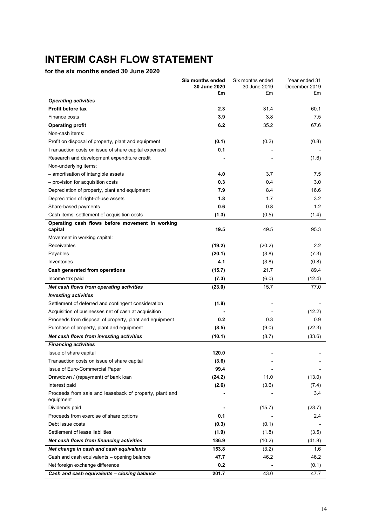# **INTERIM CASH FLOW STATEMENT**

# **for the six months ended 30 June 2020**

| £m<br>£m<br>£m<br><b>Operating activities</b><br>2.3<br>31.4<br>60.1<br><b>Profit before tax</b><br>3.9<br>3.8<br>7.5<br>Finance costs<br>6.2<br>35.2<br><b>Operating profit</b><br>67.6<br>Non-cash items:<br>(0.2)<br>Profit on disposal of property, plant and equipment<br>(0.1)<br>(0.8)<br>0.1<br>Transaction costs on issue of share capital expensed<br>Research and development expenditure credit<br>(1.6)<br>Non-underlying items:<br>- amortisation of intangible assets<br>4.0<br>3.7<br>7.5<br>- provision for acquisition costs<br>0.3<br>0.4<br>3.0<br>16.6<br>7.9<br>8.4<br>Depreciation of property, plant and equipment<br>Depreciation of right-of-use assets<br>1.8<br>1.7<br>3.2<br>1.2<br>Share-based payments<br>0.6<br>0.8<br>Cash items: settlement of acquisition costs<br>(1.3)<br>(0.5)<br>(1.4)<br>Operating cash flows before movement in working<br>capital<br>19.5<br>49.5<br>95.3<br>Movement in working capital:<br>Receivables<br>(19.2)<br>2.2<br>(20.2)<br>Payables<br>(20.1)<br>(3.8)<br>(7.3)<br>Inventories<br>4.1<br>(3.8)<br>(0.8)<br>(15.7)<br>21.7<br>89.4<br>Cash generated from operations<br>(7.3)<br>Income tax paid<br>(6.0)<br>(12.4)<br>15.7<br>Net cash flows from operating activities<br>(23.0)<br>77.0<br><b>Investing activities</b><br>Settlement of deferred and contingent consideration<br>(1.8)<br>Acquisition of businesses net of cash at acquisition<br>(12.2)<br>Proceeds from disposal of property, plant and equipment<br>0.2<br>0.3<br>0.9<br>Purchase of property, plant and equipment<br>(22.3)<br>(8.5)<br>(9.0)<br>Net cash flows from investing activities<br>(10.1)<br>(8.7)<br>(33.6)<br><b>Financing activities</b><br>Issue of share capital<br>120.0<br>(3.6)<br>Transaction costs on issue of share capital<br>99.4<br>Issue of Euro-Commercial Paper<br>Drawdown / (repayment) of bank loan<br>(24.2)<br>11.0<br>(13.0)<br>(3.6)<br>(7.4)<br>Interest paid<br>(2.6)<br>Proceeds from sale and leaseback of property, plant and<br>3.4<br>equipment<br>Dividends paid<br>(15.7)<br>(23.7)<br>0.1<br>2.4<br>Proceeds from exercise of share options<br>Debt issue costs<br>(0.3)<br>(0.1)<br>Settlement of lease liabilities<br>(1.9)<br>(1.8)<br>(3.5)<br>Net cash flows from financing activities<br>186.9<br>(10.2)<br>(41.8)<br>153.8<br>Net change in cash and cash equivalents<br>(3.2)<br>1.6<br>Cash and cash equivalents - opening balance<br>47.7<br>46.2<br>46.2<br>Net foreign exchange difference<br>0.2<br>(0.1) |                                             | <b>Six months ended</b><br>30 June 2020 | Six months ended<br>30 June 2019 | Year ended 31<br>December 2019 |
|---------------------------------------------------------------------------------------------------------------------------------------------------------------------------------------------------------------------------------------------------------------------------------------------------------------------------------------------------------------------------------------------------------------------------------------------------------------------------------------------------------------------------------------------------------------------------------------------------------------------------------------------------------------------------------------------------------------------------------------------------------------------------------------------------------------------------------------------------------------------------------------------------------------------------------------------------------------------------------------------------------------------------------------------------------------------------------------------------------------------------------------------------------------------------------------------------------------------------------------------------------------------------------------------------------------------------------------------------------------------------------------------------------------------------------------------------------------------------------------------------------------------------------------------------------------------------------------------------------------------------------------------------------------------------------------------------------------------------------------------------------------------------------------------------------------------------------------------------------------------------------------------------------------------------------------------------------------------------------------------------------------------------------------------------------------------------------------------------------------------------------------------------------------------------------------------------------------------------------------------------------------------------------------------------------------------------------------------------------------------------------------------------------------------------------------------------------------------------------------------------------------|---------------------------------------------|-----------------------------------------|----------------------------------|--------------------------------|
|                                                                                                                                                                                                                                                                                                                                                                                                                                                                                                                                                                                                                                                                                                                                                                                                                                                                                                                                                                                                                                                                                                                                                                                                                                                                                                                                                                                                                                                                                                                                                                                                                                                                                                                                                                                                                                                                                                                                                                                                                                                                                                                                                                                                                                                                                                                                                                                                                                                                                                               |                                             |                                         |                                  |                                |
|                                                                                                                                                                                                                                                                                                                                                                                                                                                                                                                                                                                                                                                                                                                                                                                                                                                                                                                                                                                                                                                                                                                                                                                                                                                                                                                                                                                                                                                                                                                                                                                                                                                                                                                                                                                                                                                                                                                                                                                                                                                                                                                                                                                                                                                                                                                                                                                                                                                                                                               |                                             |                                         |                                  |                                |
|                                                                                                                                                                                                                                                                                                                                                                                                                                                                                                                                                                                                                                                                                                                                                                                                                                                                                                                                                                                                                                                                                                                                                                                                                                                                                                                                                                                                                                                                                                                                                                                                                                                                                                                                                                                                                                                                                                                                                                                                                                                                                                                                                                                                                                                                                                                                                                                                                                                                                                               |                                             |                                         |                                  |                                |
|                                                                                                                                                                                                                                                                                                                                                                                                                                                                                                                                                                                                                                                                                                                                                                                                                                                                                                                                                                                                                                                                                                                                                                                                                                                                                                                                                                                                                                                                                                                                                                                                                                                                                                                                                                                                                                                                                                                                                                                                                                                                                                                                                                                                                                                                                                                                                                                                                                                                                                               |                                             |                                         |                                  |                                |
|                                                                                                                                                                                                                                                                                                                                                                                                                                                                                                                                                                                                                                                                                                                                                                                                                                                                                                                                                                                                                                                                                                                                                                                                                                                                                                                                                                                                                                                                                                                                                                                                                                                                                                                                                                                                                                                                                                                                                                                                                                                                                                                                                                                                                                                                                                                                                                                                                                                                                                               |                                             |                                         |                                  |                                |
|                                                                                                                                                                                                                                                                                                                                                                                                                                                                                                                                                                                                                                                                                                                                                                                                                                                                                                                                                                                                                                                                                                                                                                                                                                                                                                                                                                                                                                                                                                                                                                                                                                                                                                                                                                                                                                                                                                                                                                                                                                                                                                                                                                                                                                                                                                                                                                                                                                                                                                               |                                             |                                         |                                  |                                |
|                                                                                                                                                                                                                                                                                                                                                                                                                                                                                                                                                                                                                                                                                                                                                                                                                                                                                                                                                                                                                                                                                                                                                                                                                                                                                                                                                                                                                                                                                                                                                                                                                                                                                                                                                                                                                                                                                                                                                                                                                                                                                                                                                                                                                                                                                                                                                                                                                                                                                                               |                                             |                                         |                                  |                                |
|                                                                                                                                                                                                                                                                                                                                                                                                                                                                                                                                                                                                                                                                                                                                                                                                                                                                                                                                                                                                                                                                                                                                                                                                                                                                                                                                                                                                                                                                                                                                                                                                                                                                                                                                                                                                                                                                                                                                                                                                                                                                                                                                                                                                                                                                                                                                                                                                                                                                                                               |                                             |                                         |                                  |                                |
|                                                                                                                                                                                                                                                                                                                                                                                                                                                                                                                                                                                                                                                                                                                                                                                                                                                                                                                                                                                                                                                                                                                                                                                                                                                                                                                                                                                                                                                                                                                                                                                                                                                                                                                                                                                                                                                                                                                                                                                                                                                                                                                                                                                                                                                                                                                                                                                                                                                                                                               |                                             |                                         |                                  |                                |
|                                                                                                                                                                                                                                                                                                                                                                                                                                                                                                                                                                                                                                                                                                                                                                                                                                                                                                                                                                                                                                                                                                                                                                                                                                                                                                                                                                                                                                                                                                                                                                                                                                                                                                                                                                                                                                                                                                                                                                                                                                                                                                                                                                                                                                                                                                                                                                                                                                                                                                               |                                             |                                         |                                  |                                |
|                                                                                                                                                                                                                                                                                                                                                                                                                                                                                                                                                                                                                                                                                                                                                                                                                                                                                                                                                                                                                                                                                                                                                                                                                                                                                                                                                                                                                                                                                                                                                                                                                                                                                                                                                                                                                                                                                                                                                                                                                                                                                                                                                                                                                                                                                                                                                                                                                                                                                                               |                                             |                                         |                                  |                                |
|                                                                                                                                                                                                                                                                                                                                                                                                                                                                                                                                                                                                                                                                                                                                                                                                                                                                                                                                                                                                                                                                                                                                                                                                                                                                                                                                                                                                                                                                                                                                                                                                                                                                                                                                                                                                                                                                                                                                                                                                                                                                                                                                                                                                                                                                                                                                                                                                                                                                                                               |                                             |                                         |                                  |                                |
|                                                                                                                                                                                                                                                                                                                                                                                                                                                                                                                                                                                                                                                                                                                                                                                                                                                                                                                                                                                                                                                                                                                                                                                                                                                                                                                                                                                                                                                                                                                                                                                                                                                                                                                                                                                                                                                                                                                                                                                                                                                                                                                                                                                                                                                                                                                                                                                                                                                                                                               |                                             |                                         |                                  |                                |
|                                                                                                                                                                                                                                                                                                                                                                                                                                                                                                                                                                                                                                                                                                                                                                                                                                                                                                                                                                                                                                                                                                                                                                                                                                                                                                                                                                                                                                                                                                                                                                                                                                                                                                                                                                                                                                                                                                                                                                                                                                                                                                                                                                                                                                                                                                                                                                                                                                                                                                               |                                             |                                         |                                  |                                |
|                                                                                                                                                                                                                                                                                                                                                                                                                                                                                                                                                                                                                                                                                                                                                                                                                                                                                                                                                                                                                                                                                                                                                                                                                                                                                                                                                                                                                                                                                                                                                                                                                                                                                                                                                                                                                                                                                                                                                                                                                                                                                                                                                                                                                                                                                                                                                                                                                                                                                                               |                                             |                                         |                                  |                                |
|                                                                                                                                                                                                                                                                                                                                                                                                                                                                                                                                                                                                                                                                                                                                                                                                                                                                                                                                                                                                                                                                                                                                                                                                                                                                                                                                                                                                                                                                                                                                                                                                                                                                                                                                                                                                                                                                                                                                                                                                                                                                                                                                                                                                                                                                                                                                                                                                                                                                                                               |                                             |                                         |                                  |                                |
|                                                                                                                                                                                                                                                                                                                                                                                                                                                                                                                                                                                                                                                                                                                                                                                                                                                                                                                                                                                                                                                                                                                                                                                                                                                                                                                                                                                                                                                                                                                                                                                                                                                                                                                                                                                                                                                                                                                                                                                                                                                                                                                                                                                                                                                                                                                                                                                                                                                                                                               |                                             |                                         |                                  |                                |
|                                                                                                                                                                                                                                                                                                                                                                                                                                                                                                                                                                                                                                                                                                                                                                                                                                                                                                                                                                                                                                                                                                                                                                                                                                                                                                                                                                                                                                                                                                                                                                                                                                                                                                                                                                                                                                                                                                                                                                                                                                                                                                                                                                                                                                                                                                                                                                                                                                                                                                               |                                             |                                         |                                  |                                |
|                                                                                                                                                                                                                                                                                                                                                                                                                                                                                                                                                                                                                                                                                                                                                                                                                                                                                                                                                                                                                                                                                                                                                                                                                                                                                                                                                                                                                                                                                                                                                                                                                                                                                                                                                                                                                                                                                                                                                                                                                                                                                                                                                                                                                                                                                                                                                                                                                                                                                                               |                                             |                                         |                                  |                                |
|                                                                                                                                                                                                                                                                                                                                                                                                                                                                                                                                                                                                                                                                                                                                                                                                                                                                                                                                                                                                                                                                                                                                                                                                                                                                                                                                                                                                                                                                                                                                                                                                                                                                                                                                                                                                                                                                                                                                                                                                                                                                                                                                                                                                                                                                                                                                                                                                                                                                                                               |                                             |                                         |                                  |                                |
|                                                                                                                                                                                                                                                                                                                                                                                                                                                                                                                                                                                                                                                                                                                                                                                                                                                                                                                                                                                                                                                                                                                                                                                                                                                                                                                                                                                                                                                                                                                                                                                                                                                                                                                                                                                                                                                                                                                                                                                                                                                                                                                                                                                                                                                                                                                                                                                                                                                                                                               |                                             |                                         |                                  |                                |
|                                                                                                                                                                                                                                                                                                                                                                                                                                                                                                                                                                                                                                                                                                                                                                                                                                                                                                                                                                                                                                                                                                                                                                                                                                                                                                                                                                                                                                                                                                                                                                                                                                                                                                                                                                                                                                                                                                                                                                                                                                                                                                                                                                                                                                                                                                                                                                                                                                                                                                               |                                             |                                         |                                  |                                |
|                                                                                                                                                                                                                                                                                                                                                                                                                                                                                                                                                                                                                                                                                                                                                                                                                                                                                                                                                                                                                                                                                                                                                                                                                                                                                                                                                                                                                                                                                                                                                                                                                                                                                                                                                                                                                                                                                                                                                                                                                                                                                                                                                                                                                                                                                                                                                                                                                                                                                                               |                                             |                                         |                                  |                                |
|                                                                                                                                                                                                                                                                                                                                                                                                                                                                                                                                                                                                                                                                                                                                                                                                                                                                                                                                                                                                                                                                                                                                                                                                                                                                                                                                                                                                                                                                                                                                                                                                                                                                                                                                                                                                                                                                                                                                                                                                                                                                                                                                                                                                                                                                                                                                                                                                                                                                                                               |                                             |                                         |                                  |                                |
|                                                                                                                                                                                                                                                                                                                                                                                                                                                                                                                                                                                                                                                                                                                                                                                                                                                                                                                                                                                                                                                                                                                                                                                                                                                                                                                                                                                                                                                                                                                                                                                                                                                                                                                                                                                                                                                                                                                                                                                                                                                                                                                                                                                                                                                                                                                                                                                                                                                                                                               |                                             |                                         |                                  |                                |
|                                                                                                                                                                                                                                                                                                                                                                                                                                                                                                                                                                                                                                                                                                                                                                                                                                                                                                                                                                                                                                                                                                                                                                                                                                                                                                                                                                                                                                                                                                                                                                                                                                                                                                                                                                                                                                                                                                                                                                                                                                                                                                                                                                                                                                                                                                                                                                                                                                                                                                               |                                             |                                         |                                  |                                |
|                                                                                                                                                                                                                                                                                                                                                                                                                                                                                                                                                                                                                                                                                                                                                                                                                                                                                                                                                                                                                                                                                                                                                                                                                                                                                                                                                                                                                                                                                                                                                                                                                                                                                                                                                                                                                                                                                                                                                                                                                                                                                                                                                                                                                                                                                                                                                                                                                                                                                                               |                                             |                                         |                                  |                                |
|                                                                                                                                                                                                                                                                                                                                                                                                                                                                                                                                                                                                                                                                                                                                                                                                                                                                                                                                                                                                                                                                                                                                                                                                                                                                                                                                                                                                                                                                                                                                                                                                                                                                                                                                                                                                                                                                                                                                                                                                                                                                                                                                                                                                                                                                                                                                                                                                                                                                                                               |                                             |                                         |                                  |                                |
|                                                                                                                                                                                                                                                                                                                                                                                                                                                                                                                                                                                                                                                                                                                                                                                                                                                                                                                                                                                                                                                                                                                                                                                                                                                                                                                                                                                                                                                                                                                                                                                                                                                                                                                                                                                                                                                                                                                                                                                                                                                                                                                                                                                                                                                                                                                                                                                                                                                                                                               |                                             |                                         |                                  |                                |
|                                                                                                                                                                                                                                                                                                                                                                                                                                                                                                                                                                                                                                                                                                                                                                                                                                                                                                                                                                                                                                                                                                                                                                                                                                                                                                                                                                                                                                                                                                                                                                                                                                                                                                                                                                                                                                                                                                                                                                                                                                                                                                                                                                                                                                                                                                                                                                                                                                                                                                               |                                             |                                         |                                  |                                |
|                                                                                                                                                                                                                                                                                                                                                                                                                                                                                                                                                                                                                                                                                                                                                                                                                                                                                                                                                                                                                                                                                                                                                                                                                                                                                                                                                                                                                                                                                                                                                                                                                                                                                                                                                                                                                                                                                                                                                                                                                                                                                                                                                                                                                                                                                                                                                                                                                                                                                                               |                                             |                                         |                                  |                                |
|                                                                                                                                                                                                                                                                                                                                                                                                                                                                                                                                                                                                                                                                                                                                                                                                                                                                                                                                                                                                                                                                                                                                                                                                                                                                                                                                                                                                                                                                                                                                                                                                                                                                                                                                                                                                                                                                                                                                                                                                                                                                                                                                                                                                                                                                                                                                                                                                                                                                                                               |                                             |                                         |                                  |                                |
|                                                                                                                                                                                                                                                                                                                                                                                                                                                                                                                                                                                                                                                                                                                                                                                                                                                                                                                                                                                                                                                                                                                                                                                                                                                                                                                                                                                                                                                                                                                                                                                                                                                                                                                                                                                                                                                                                                                                                                                                                                                                                                                                                                                                                                                                                                                                                                                                                                                                                                               |                                             |                                         |                                  |                                |
|                                                                                                                                                                                                                                                                                                                                                                                                                                                                                                                                                                                                                                                                                                                                                                                                                                                                                                                                                                                                                                                                                                                                                                                                                                                                                                                                                                                                                                                                                                                                                                                                                                                                                                                                                                                                                                                                                                                                                                                                                                                                                                                                                                                                                                                                                                                                                                                                                                                                                                               |                                             |                                         |                                  |                                |
|                                                                                                                                                                                                                                                                                                                                                                                                                                                                                                                                                                                                                                                                                                                                                                                                                                                                                                                                                                                                                                                                                                                                                                                                                                                                                                                                                                                                                                                                                                                                                                                                                                                                                                                                                                                                                                                                                                                                                                                                                                                                                                                                                                                                                                                                                                                                                                                                                                                                                                               |                                             |                                         |                                  |                                |
|                                                                                                                                                                                                                                                                                                                                                                                                                                                                                                                                                                                                                                                                                                                                                                                                                                                                                                                                                                                                                                                                                                                                                                                                                                                                                                                                                                                                                                                                                                                                                                                                                                                                                                                                                                                                                                                                                                                                                                                                                                                                                                                                                                                                                                                                                                                                                                                                                                                                                                               |                                             |                                         |                                  |                                |
|                                                                                                                                                                                                                                                                                                                                                                                                                                                                                                                                                                                                                                                                                                                                                                                                                                                                                                                                                                                                                                                                                                                                                                                                                                                                                                                                                                                                                                                                                                                                                                                                                                                                                                                                                                                                                                                                                                                                                                                                                                                                                                                                                                                                                                                                                                                                                                                                                                                                                                               |                                             |                                         |                                  |                                |
|                                                                                                                                                                                                                                                                                                                                                                                                                                                                                                                                                                                                                                                                                                                                                                                                                                                                                                                                                                                                                                                                                                                                                                                                                                                                                                                                                                                                                                                                                                                                                                                                                                                                                                                                                                                                                                                                                                                                                                                                                                                                                                                                                                                                                                                                                                                                                                                                                                                                                                               |                                             |                                         |                                  |                                |
|                                                                                                                                                                                                                                                                                                                                                                                                                                                                                                                                                                                                                                                                                                                                                                                                                                                                                                                                                                                                                                                                                                                                                                                                                                                                                                                                                                                                                                                                                                                                                                                                                                                                                                                                                                                                                                                                                                                                                                                                                                                                                                                                                                                                                                                                                                                                                                                                                                                                                                               |                                             |                                         |                                  |                                |
|                                                                                                                                                                                                                                                                                                                                                                                                                                                                                                                                                                                                                                                                                                                                                                                                                                                                                                                                                                                                                                                                                                                                                                                                                                                                                                                                                                                                                                                                                                                                                                                                                                                                                                                                                                                                                                                                                                                                                                                                                                                                                                                                                                                                                                                                                                                                                                                                                                                                                                               |                                             |                                         |                                  |                                |
|                                                                                                                                                                                                                                                                                                                                                                                                                                                                                                                                                                                                                                                                                                                                                                                                                                                                                                                                                                                                                                                                                                                                                                                                                                                                                                                                                                                                                                                                                                                                                                                                                                                                                                                                                                                                                                                                                                                                                                                                                                                                                                                                                                                                                                                                                                                                                                                                                                                                                                               |                                             |                                         |                                  |                                |
|                                                                                                                                                                                                                                                                                                                                                                                                                                                                                                                                                                                                                                                                                                                                                                                                                                                                                                                                                                                                                                                                                                                                                                                                                                                                                                                                                                                                                                                                                                                                                                                                                                                                                                                                                                                                                                                                                                                                                                                                                                                                                                                                                                                                                                                                                                                                                                                                                                                                                                               |                                             |                                         |                                  |                                |
|                                                                                                                                                                                                                                                                                                                                                                                                                                                                                                                                                                                                                                                                                                                                                                                                                                                                                                                                                                                                                                                                                                                                                                                                                                                                                                                                                                                                                                                                                                                                                                                                                                                                                                                                                                                                                                                                                                                                                                                                                                                                                                                                                                                                                                                                                                                                                                                                                                                                                                               |                                             |                                         |                                  |                                |
|                                                                                                                                                                                                                                                                                                                                                                                                                                                                                                                                                                                                                                                                                                                                                                                                                                                                                                                                                                                                                                                                                                                                                                                                                                                                                                                                                                                                                                                                                                                                                                                                                                                                                                                                                                                                                                                                                                                                                                                                                                                                                                                                                                                                                                                                                                                                                                                                                                                                                                               |                                             |                                         |                                  |                                |
|                                                                                                                                                                                                                                                                                                                                                                                                                                                                                                                                                                                                                                                                                                                                                                                                                                                                                                                                                                                                                                                                                                                                                                                                                                                                                                                                                                                                                                                                                                                                                                                                                                                                                                                                                                                                                                                                                                                                                                                                                                                                                                                                                                                                                                                                                                                                                                                                                                                                                                               |                                             |                                         |                                  |                                |
|                                                                                                                                                                                                                                                                                                                                                                                                                                                                                                                                                                                                                                                                                                                                                                                                                                                                                                                                                                                                                                                                                                                                                                                                                                                                                                                                                                                                                                                                                                                                                                                                                                                                                                                                                                                                                                                                                                                                                                                                                                                                                                                                                                                                                                                                                                                                                                                                                                                                                                               |                                             |                                         |                                  |                                |
|                                                                                                                                                                                                                                                                                                                                                                                                                                                                                                                                                                                                                                                                                                                                                                                                                                                                                                                                                                                                                                                                                                                                                                                                                                                                                                                                                                                                                                                                                                                                                                                                                                                                                                                                                                                                                                                                                                                                                                                                                                                                                                                                                                                                                                                                                                                                                                                                                                                                                                               | Cash and cash equivalents - closing balance | 201.7                                   | 43.0                             | 47.7                           |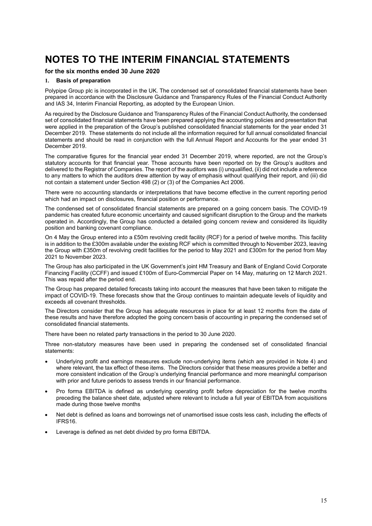### **for the six months ended 30 June 2020**

#### **1. Basis of preparation**

Polypipe Group plc is incorporated in the UK. The condensed set of consolidated financial statements have been prepared in accordance with the Disclosure Guidance and Transparency Rules of the Financial Conduct Authority and IAS 34, Interim Financial Reporting, as adopted by the European Union.

As required by the Disclosure Guidance and Transparency Rules of the Financial Conduct Authority, the condensed set of consolidated financial statements have been prepared applying the accounting policies and presentation that were applied in the preparation of the Group's published consolidated financial statements for the year ended 31 December 2019. These statements do not include all the information required for full annual consolidated financial statements and should be read in conjunction with the full Annual Report and Accounts for the year ended 31 December 2019.

The comparative figures for the financial year ended 31 December 2019, where reported, are not the Group's statutory accounts for that financial year. Those accounts have been reported on by the Group's auditors and delivered to the Registrar of Companies. The report of the auditors was (i) unqualified, (ii) did not include a reference to any matters to which the auditors drew attention by way of emphasis without qualifying their report, and (iii) did not contain a statement under Section 498 (2) or (3) of the Companies Act 2006.

There were no accounting standards or interpretations that have become effective in the current reporting period which had an impact on disclosures, financial position or performance.

The condensed set of consolidated financial statements are prepared on a going concern basis. The COVID-19 pandemic has created future economic uncertainty and caused significant disruption to the Group and the markets operated in. Accordingly, the Group has conducted a detailed going concern review and considered its liquidity position and banking covenant compliance.

On 4 May the Group entered into a £50m revolving credit facility (RCF) for a period of twelve months. This facility is in addition to the £300m available under the existing RCF which is committed through to November 2023, leaving the Group with £350m of revolving credit facilities for the period to May 2021 and £300m for the period from May 2021 to November 2023.

The Group has also participated in the UK Government's joint HM Treasury and Bank of England Covid Corporate Financing Facility (CCFF) and issued £100m of Euro-Commercial Paper on 14 May, maturing on 12 March 2021. This was repaid after the period end.

The Group has prepared detailed forecasts taking into account the measures that have been taken to mitigate the impact of COVID-19. These forecasts show that the Group continues to maintain adequate levels of liquidity and exceeds all covenant thresholds.

The Directors consider that the Group has adequate resources in place for at least 12 months from the date of these results and have therefore adopted the going concern basis of accounting in preparing the condensed set of consolidated financial statements.

There have been no related party transactions in the period to 30 June 2020.

Three non-statutory measures have been used in preparing the condensed set of consolidated financial statements:

- Underlying profit and earnings measures exclude non-underlying items (which are provided in Note 4) and where relevant, the tax effect of these items. The Directors consider that these measures provide a better and more consistent indication of the Group's underlying financial performance and more meaningful comparison with prior and future periods to assess trends in our financial performance.
- Pro forma EBITDA is defined as underlying operating profit before depreciation for the twelve months preceding the balance sheet date, adjusted where relevant to include a full year of EBITDA from acquisitions made during those twelve months
- Net debt is defined as loans and borrowings net of unamortised issue costs less cash, including the effects of IFRS16.
- Leverage is defined as net debt divided by pro forma EBITDA.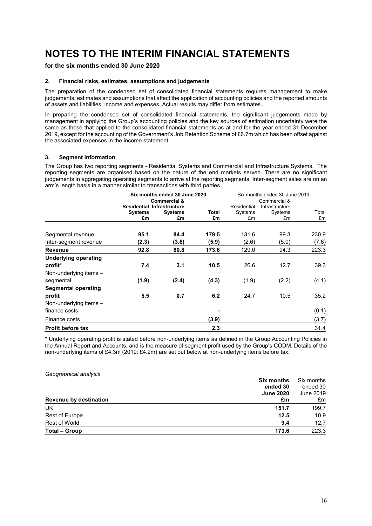## **for the six months ended 30 June 2020**

#### **2. Financial risks, estimates, assumptions and judgements**

The preparation of the condensed set of consolidated financial statements requires management to make judgements, estimates and assumptions that affect the application of accounting policies and the reported amounts of assets and liabilities, income and expenses. Actual results may differ from estimates.

In preparing the condensed set of consolidated financial statements, the significant judgements made by management in applying the Group's accounting policies and the key sources of estimation uncertainty were the same as those that applied to the consolidated financial statements as at and for the year ended 31 December 2019, except for the accounting of the Government's Job Retention Scheme of £6.7m which has been offset against the associated expenses in the income statement.

#### **3. Segment information**

The Group has two reporting segments - Residential Systems and Commercial and Infrastructure Systems. The reporting segments are organised based on the nature of the end markets served. There are no significant judgements in aggregating operating segments to arrive at the reporting segments. Inter-segment sales are on an arm's length basis in a manner similar to transactions with third parties.

|                             |                                   | Six months ended 30 June 2020 |       | Six months ended 30 June 2019 |                |       |  |
|-----------------------------|-----------------------------------|-------------------------------|-------|-------------------------------|----------------|-------|--|
|                             | <b>Commercial &amp;</b>           |                               |       |                               | Commercial &   |       |  |
|                             | <b>Residential Infrastructure</b> |                               |       | Residential                   | Infrastructure |       |  |
|                             | <b>Systems</b>                    | <b>Systems</b>                | Total | Systems                       | Systems        | Total |  |
|                             | £m                                | £m                            | £m    | £m                            | £m             | £m    |  |
| Segmental revenue           | 95.1                              | 84.4                          | 179.5 | 131.6                         | 99.3           | 230.9 |  |
| Inter-segment revenue       | (2.3)                             | (3.6)                         | (5.9) | (2.6)                         | (5.0)          | (7.6) |  |
| <b>Revenue</b>              | 92.8                              | 80.8                          | 173.6 | 129.0                         | 94.3           | 223.3 |  |
| <b>Underlying operating</b> |                                   |                               |       |                               |                |       |  |
| profit*                     | 7.4                               | 3.1                           | 10.5  | 26.6                          | 12.7           | 39.3  |  |
| Non-underlying items $-$    |                                   |                               |       |                               |                |       |  |
| segmental                   | (1.9)                             | (2.4)                         | (4.3) | (1.9)                         | (2.2)          | (4.1) |  |
| <b>Segmental operating</b>  |                                   |                               |       |                               |                |       |  |
| profit                      | 5.5                               | 0.7                           | 6.2   | 24.7                          | 10.5           | 35.2  |  |
| Non-underlying items $-$    |                                   |                               |       |                               |                |       |  |
| finance costs               |                                   |                               |       |                               |                | (0.1) |  |
| Finance costs               |                                   |                               | (3.9) |                               |                | (3.7) |  |
| <b>Profit before tax</b>    |                                   |                               | 2.3   |                               |                | 31.4  |  |

\* Underlying operating profit is stated before non-underlying items as defined in the Group Accounting Policies in the Annual Report and Accounts, and is the measure of segment profit used by the Group's CODM. Details of the non-underlying items of £4.3m (2019: £4.2m) are set out below at non-underlying items before tax.

| Geographical analysis<br>Six months<br>ended 30 | Six months<br>ended 30 |
|-------------------------------------------------|------------------------|
| <b>June 2020</b>                                | June 2019              |
| <b>Revenue by destination</b><br>£m             | £m                     |
| UK<br>151.7                                     | 199.7                  |
| Rest of Europe<br>12.5                          | 10.9                   |
| <b>Rest of World</b><br>9.4                     | 12.7                   |
| <b>Total - Group</b><br>173.6                   | 223.3                  |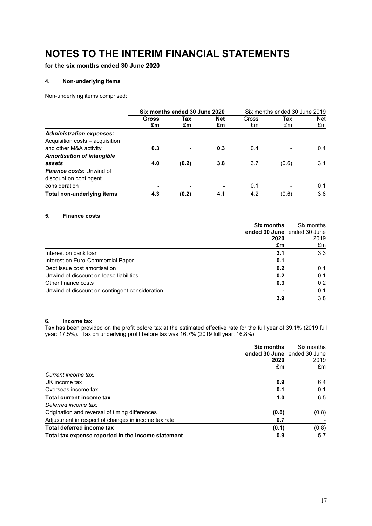**for the six months ended 30 June 2020**

### **4. Non-underlying items**

Non-underlying items comprised:

|                                   |                    | Six months ended 30 June 2020 |                  |             | Six months ended 30 June 2019 |                  |
|-----------------------------------|--------------------|-------------------------------|------------------|-------------|-------------------------------|------------------|
|                                   | <b>Gross</b><br>£m | Tax<br>£m                     | <b>Net</b><br>£m | Gross<br>£m | Tax<br>£m                     | <b>Net</b><br>£m |
| <b>Administration expenses:</b>   |                    |                               |                  |             |                               |                  |
| Acquisition costs - acquisition   |                    |                               |                  |             |                               |                  |
| and other M&A activity            | 0.3                | -                             | 0.3              | 0.4         |                               | 0.4              |
| <b>Amortisation of intangible</b> |                    |                               |                  |             |                               |                  |
| assets                            | 4.0                | (0.2)                         | 3.8              | 3.7         | (0.6)                         | 3.1              |
| <b>Finance costs:</b> Unwind of   |                    |                               |                  |             |                               |                  |
| discount on contingent            |                    |                               |                  |             |                               |                  |
| consideration                     | ۰                  | -                             | -                | 0.1         | $\qquad \qquad \blacksquare$  | 0.1              |
| Total non-underlying items        | 4.3                | (0.2)                         | 4.1              | 4.2         | (0.6)                         | 3.6              |

### **5. Finance costs**

|                                                | <b>Six months</b>           | Six months |  |
|------------------------------------------------|-----------------------------|------------|--|
|                                                | ended 30 June ended 30 June |            |  |
|                                                | 2020                        | 2019       |  |
|                                                | £m                          | £m         |  |
| Interest on bank loan                          | 3.1                         | 3.3        |  |
| Interest on Euro-Commercial Paper              | 0.1                         |            |  |
| Debt issue cost amortisation                   | 0.2                         | 0.1        |  |
| Unwind of discount on lease liabilities        | 0.2                         | 0.1        |  |
| Other finance costs                            | 0.3                         | 0.2        |  |
| Unwind of discount on contingent consideration |                             | 0.1        |  |
|                                                | 3.9                         | 3.8        |  |

#### **6. Income tax**

Tax has been provided on the profit before tax at the estimated effective rate for the full year of 39.1% (2019 full year: 17.5%). Tax on underlying profit before tax was 16.7% (2019 full year: 16.8%).

|                                                     | <b>Six months</b><br>ended 30 June ended 30 June<br>2020 | Six months<br>2019 |
|-----------------------------------------------------|----------------------------------------------------------|--------------------|
|                                                     | £m                                                       | £m                 |
| Current income tax:                                 |                                                          |                    |
| UK income tax                                       | 0.9                                                      | 6.4                |
| Overseas income tax                                 | 0.1                                                      | 0.1                |
| Total current income tax                            | 1.0                                                      | 6.5                |
| Deferred income tax:                                |                                                          |                    |
| Origination and reversal of timing differences      | (0.8)                                                    | (0.8)              |
| Adjustment in respect of changes in income tax rate | 0.7                                                      |                    |
| Total deferred income tax                           | (0.1)                                                    | (0.8)              |
| Total tax expense reported in the income statement  | 0.9                                                      | 5.7                |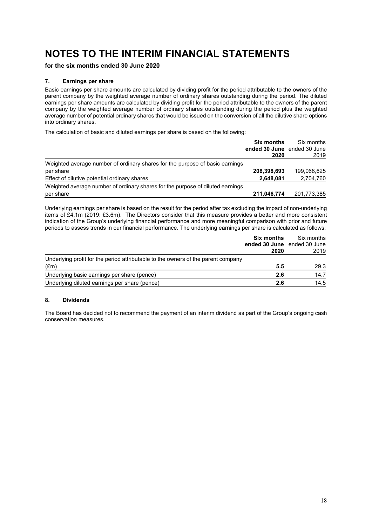**for the six months ended 30 June 2020**

#### **7. Earnings per share**

Basic earnings per share amounts are calculated by dividing profit for the period attributable to the owners of the parent company by the weighted average number of ordinary shares outstanding during the period. The diluted earnings per share amounts are calculated by dividing profit for the period attributable to the owners of the parent company by the weighted average number of ordinary shares outstanding during the period plus the weighted average number of potential ordinary shares that would be issued on the conversion of all the dilutive share options into ordinary shares.

The calculation of basic and diluted earnings per share is based on the following:

|                                                                                | <b>Six months</b><br>ended 30 June ended 30 June<br>2020 | Six months<br>2019 |
|--------------------------------------------------------------------------------|----------------------------------------------------------|--------------------|
|                                                                                |                                                          |                    |
| Weighted average number of ordinary shares for the purpose of basic earnings   |                                                          |                    |
| per share                                                                      | 208,398,693                                              | 199,068,625        |
| Effect of dilutive potential ordinary shares                                   | 2,648,081                                                | 2,704,760          |
| Weighted average number of ordinary shares for the purpose of diluted earnings |                                                          |                    |
| per share                                                                      | 211,046,774                                              | 201,773,385        |

Underlying earnings per share is based on the result for the period after tax excluding the impact of non-underlying items of £4.1m (2019: £3.6m). The Directors consider that this measure provides a better and more consistent indication of the Group's underlying financial performance and more meaningful comparison with prior and future periods to assess trends in our financial performance. The underlying earnings per share is calculated as follows:

|                                                                                   | Six months                          | Six months |
|-----------------------------------------------------------------------------------|-------------------------------------|------------|
|                                                                                   | ended 30 June ended 30 June<br>2020 | 2019       |
| Underlying profit for the period attributable to the owners of the parent company |                                     |            |
| $(\text{Em})$                                                                     | 5.5                                 | 29.3       |
| Underlying basic earnings per share (pence)                                       | 2.6                                 | 14.7       |
| Underlying diluted earnings per share (pence)                                     | 2.6                                 | 14.5       |

### **8. Dividends**

The Board has decided not to recommend the payment of an interim dividend as part of the Group's ongoing cash conservation measures.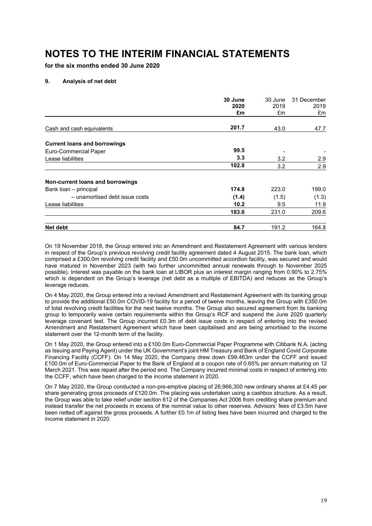**for the six months ended 30 June 2020**

#### **9. Analysis of net debt**

|                                     | 30 June<br>2020 | 30 June<br>2019 | 31 December<br>2019 |
|-------------------------------------|-----------------|-----------------|---------------------|
|                                     | £m              | £m              | £m                  |
| Cash and cash equivalents           | 201.7           | 43.0            | 47.7                |
| <b>Current loans and borrowings</b> |                 |                 |                     |
| Euro-Commercial Paper               | 99.5            |                 |                     |
| Lease liabilities                   | 3.3             | 3.2             | 2.9                 |
|                                     | 102.8           | 3.2             | 2.9                 |
| Non-current loans and borrowings    |                 |                 |                     |
| Bank loan - principal               | 174.8           | 223.0           | 199.0               |
| - unamortised debt issue costs      | (1.4)           | (1.5)           | (1.3)               |
| Lease liabilities                   | 10.2            | 9.5             | 11.9                |
|                                     | 183.6           | 231.0           | 209.6               |
| Net debt                            | 84.7            | 191.2           | 164.8               |

On 19 November 2018, the Group entered into an Amendment and Restatement Agreement with various lenders in respect of the Group's previous revolving credit facility agreement dated 4 August 2015. The bank loan, which comprised a £300.0m revolving credit facility and £50.0m uncommitted accordion facility, was secured and would have matured in November 2023 (with two further uncommitted annual renewals through to November 2025 possible). Interest was payable on the bank loan at LIBOR plus an interest margin ranging from 0.90% to 2.75% which is dependent on the Group's leverage (net debt as a multiple of EBITDA) and reduces as the Group's leverage reduces.

On 4 May 2020, the Group entered into a revised Amendment and Restatement Agreement with its banking group to provide the additional £50.0m COVID-19 facility for a period of twelve months, leaving the Group with £350.0m of total revolving credit facilities for the next twelve months. The Group also secured agreement from its banking group to temporarily waive certain requirements within the Group's RCF and suspend the June 2020 quarterly leverage covenant test. The Group incurred £0.3m of debt issue costs in respect of entering into the revised Amendment and Restatement Agreement which have been capitalised and are being amortised to the income statement over the 12-month term of the facility.

On 1 May 2020, the Group entered into a £100.0m Euro-Commercial Paper Programme with Citibank N.A. (acting as Issuing and Paying Agent) under the UK Government's joint HM Treasury and Bank of England Covid Corporate Financing Facility (CCFF). On 14 May 2020, the Company drew down £99.463m under the CCFF and issued £100.0m of Euro-Commercial Paper to the Bank of England at a coupon rate of 0.65% per annum maturing on 12 March 2021. This was repaid after the period end. The Company incurred minimal costs in respect of entering into the CCFF, which have been charged to the income statement in 2020.

On 7 May 2020, the Group conducted a non-pre-emptive placing of 26,966,300 new ordinary shares at £4.45 per share generating gross proceeds of £120.0m. The placing was undertaken using a cashbox structure. As a result, the Group was able to take relief under section 612 of the Companies Act 2006 from crediting share premium and instead transfer the net proceeds in excess of the nominal value to other reserves. Advisors' fees of £3.5m have been netted off against the gross proceeds. A further £0.1m of listing fees have been incurred and charged to the income statement in 2020.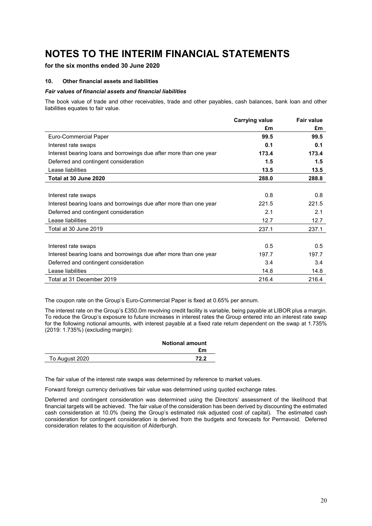# **for the six months ended 30 June 2020**

### **10. Other financial assets and liabilities**

#### *Fair values of financial assets and financial liabilities*

The book value of trade and other receivables, trade and other payables, cash balances, bank loan and other liabilities equates to fair value.

|                                                                    | <b>Carrying value</b> | <b>Fair value</b> |
|--------------------------------------------------------------------|-----------------------|-------------------|
|                                                                    | £m                    | £m                |
| Euro-Commercial Paper                                              | 99.5                  | 99.5              |
| Interest rate swaps                                                | 0.1                   | 0.1               |
| Interest bearing loans and borrowings due after more than one year | 173.4                 | 173.4             |
| Deferred and contingent consideration                              | 1.5                   | 1.5               |
| Lease liabilities                                                  | 13.5                  | 13.5              |
| Total at 30 June 2020                                              | 288.0                 | 288.8             |
|                                                                    |                       |                   |
| Interest rate swaps                                                | 0.8                   | 0.8               |
| Interest bearing loans and borrowings due after more than one year | 221.5                 | 221.5             |
| Deferred and contingent consideration                              | 2.1                   | 2.1               |
| Lease liabilities                                                  | 12.7                  | 12.7              |
| Total at 30 June 2019                                              | 237.1                 | 237.1             |
|                                                                    |                       |                   |
| Interest rate swaps                                                | 0.5                   | 0.5               |
| Interest bearing loans and borrowings due after more than one year | 197.7                 | 197.7             |
| Deferred and contingent consideration                              | 3.4                   | 3.4               |
| Lease liabilities                                                  | 14.8                  | 14.8              |
| Total at 31 December 2019                                          | 216.4                 | 216.4             |

The coupon rate on the Group's Euro-Commercial Paper is fixed at 0.65% per annum.

The interest rate on the Group's £350.0m revolving credit facility is variable, being payable at LIBOR plus a margin. To reduce the Group's exposure to future increases in interest rates the Group entered into an interest rate swap for the following notional amounts, with interest payable at a fixed rate return dependent on the swap at 1.735% (2019: 1.735%) (excluding margin):

|                | <b>Notional amount</b> |
|----------------|------------------------|
|                | £m                     |
| To August 2020 | 72 2                   |

The fair value of the interest rate swaps was determined by reference to market values.

Forward foreign currency derivatives fair value was determined using quoted exchange rates.

Deferred and contingent consideration was determined using the Directors' assessment of the likelihood that financial targets will be achieved. The fair value of the consideration has been derived by discounting the estimated cash consideration at 10.0% (being the Group's estimated risk adjusted cost of capital). The estimated cash consideration for contingent consideration is derived from the budgets and forecasts for Permavoid. Deferred consideration relates to the acquisition of Alderburgh.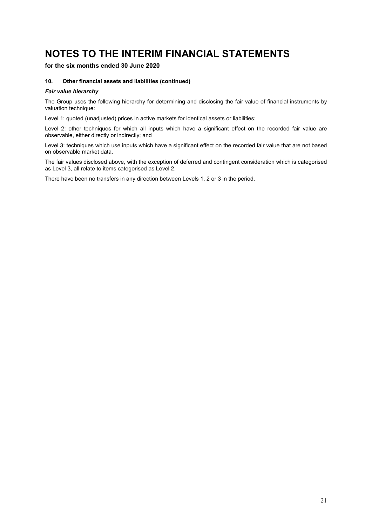# **for the six months ended 30 June 2020**

#### **10. Other financial assets and liabilities (continued)**

#### *Fair value hierarchy*

The Group uses the following hierarchy for determining and disclosing the fair value of financial instruments by valuation technique:

Level 1: quoted (unadjusted) prices in active markets for identical assets or liabilities;

Level 2: other techniques for which all inputs which have a significant effect on the recorded fair value are observable, either directly or indirectly; and

Level 3: techniques which use inputs which have a significant effect on the recorded fair value that are not based on observable market data.

The fair values disclosed above, with the exception of deferred and contingent consideration which is categorised as Level 3, all relate to items categorised as Level 2.

There have been no transfers in any direction between Levels 1, 2 or 3 in the period.